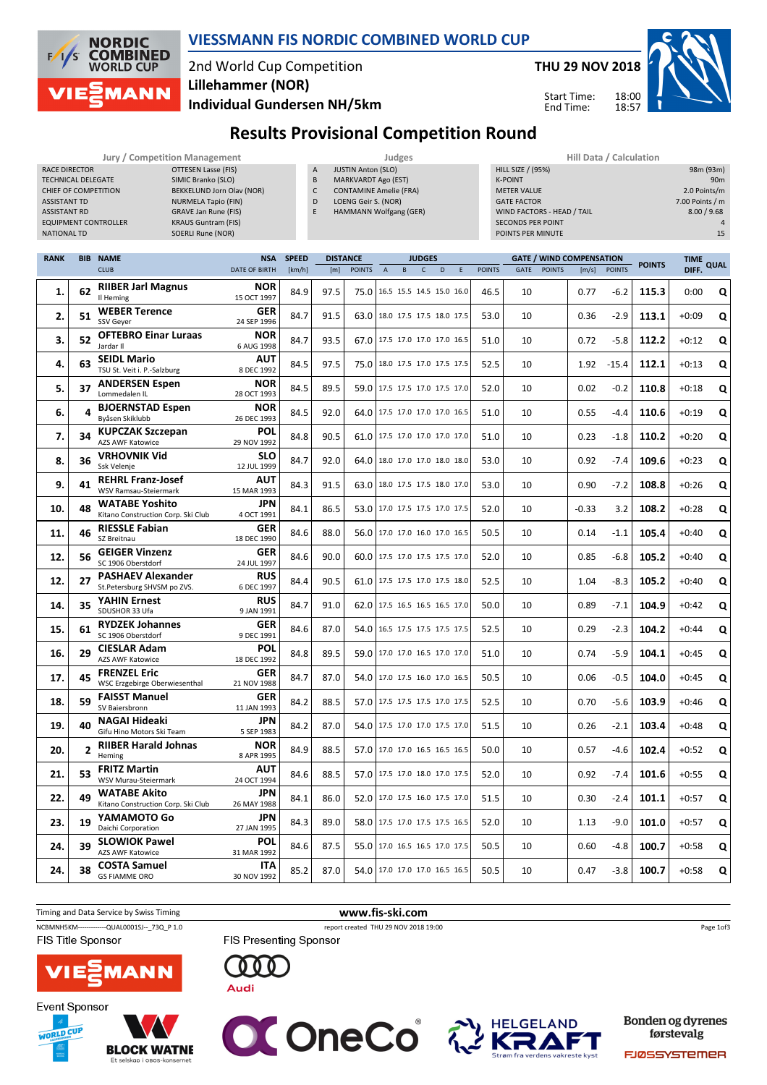

## VIESSMANN FIS NORDIC COMBINED WORLD CUP

# 2nd World Cup Competition Lillehammer (NOR)

THU 29 NOV 2018

Start Time: End Time:

 $18:00$ 18:57



98m (93m)<br>90m

Individual Gundersen NH/5km

# Results Provisional Competition Round Jury / Competition Management The Computer of the Sudges of the Hill Data / Calculation

| RACE DIRECTOR<br>TECHNICAL DELEGATE<br>CHIEF OF COMPETITION<br><b>ASSISTANT TD</b><br><b>ASSISTANT RD</b><br><b>NATIONAL TD</b> |            | <b>OTTESEN Lasse (FIS)</b><br>SIMIC Branko (SLO)<br>BEKKELUND Jorn Olav (NOR)<br><b>NURMELA Tapio (FIN)</b><br><b>GRAVE Jan Rune (FIS)</b><br><b>KRAUS Guntram (FIS)</b><br><b>EQUIPMENT CONTROLLER</b><br><b>SOERLI Rune (NOR)</b> |                                    | <b>JUSTIN Anton (SLO)</b><br><b>HILL SIZE / (95%)</b><br>A<br>B<br><b>MARKVARDT Ago (EST)</b><br><b>K-POINT</b><br>$\mathsf{C}$<br><b>CONTAMINE Amelie (FRA)</b><br><b>METER VALUE</b><br>D<br>LOENG Geir S. (NOR)<br><b>GATE FACTOR</b><br>E<br>HAMMANN Wolfgang (GER)<br>WIND FACTORS - HEAD / TAIL<br><b>SECONDS PER POINT</b><br>POINTS PER MINUTE |      |                 |                                 |    |               |   |   |               | 98m (93m)<br>90 <sub>m</sub><br>2.0 Points/m<br>7.00 Points / m<br>8.00 / 9.68<br>$\overline{4}$<br>15 |               |                                 |               |               |             |      |
|---------------------------------------------------------------------------------------------------------------------------------|------------|-------------------------------------------------------------------------------------------------------------------------------------------------------------------------------------------------------------------------------------|------------------------------------|--------------------------------------------------------------------------------------------------------------------------------------------------------------------------------------------------------------------------------------------------------------------------------------------------------------------------------------------------------|------|-----------------|---------------------------------|----|---------------|---|---|---------------|--------------------------------------------------------------------------------------------------------|---------------|---------------------------------|---------------|---------------|-------------|------|
| <b>RANK</b>                                                                                                                     | <b>BIB</b> | <b>NAME</b>                                                                                                                                                                                                                         | <b>NSA</b>                         | <b>SPEED</b>                                                                                                                                                                                                                                                                                                                                           |      | <b>DISTANCE</b> |                                 |    | <b>JUDGES</b> |   |   |               |                                                                                                        |               | <b>GATE / WIND COMPENSATION</b> |               | <b>POINTS</b> | <b>TIME</b> | QUAL |
|                                                                                                                                 |            | <b>CLUB</b><br><b>RIIBER Jarl Magnus</b>                                                                                                                                                                                            | <b>DATE OF BIRTH</b><br><b>NOR</b> | [km/h]                                                                                                                                                                                                                                                                                                                                                 | [m]  | <b>POINTS</b>   | $\overline{A}$                  | B. | $\mathsf{C}$  | D | E | <b>POINTS</b> | <b>GATE</b>                                                                                            | <b>POINTS</b> | [m/s]                           | <b>POINTS</b> |               | DIFF.       |      |
| 1.                                                                                                                              | 62         | Il Heming                                                                                                                                                                                                                           | 15 OCT 1997                        | 84.9                                                                                                                                                                                                                                                                                                                                                   | 97.5 | 75.0            | 16.5 15.5 14.5 15.0 16.0        |    |               |   |   | 46.5          | 10                                                                                                     |               | 0.77                            | -6.2          | 115.3         | 0:00        | Q    |
| 2.                                                                                                                              | 51         | <b>WEBER Terence</b><br>SSV Geyer                                                                                                                                                                                                   | GER<br>24 SEP 1996                 | 84.7                                                                                                                                                                                                                                                                                                                                                   | 91.5 | 63.0            | 18.0 17.5 17.5 18.0 17.5        |    |               |   |   | 53.0          | 10                                                                                                     |               | 0.36                            | $-2.9$        | 113.1         | $+0:09$     | Q    |
| 3.                                                                                                                              | 52         | <b>OFTEBRO Einar Luraas</b><br>Jardar II                                                                                                                                                                                            | <b>NOR</b><br>6 AUG 1998           | 84.7                                                                                                                                                                                                                                                                                                                                                   | 93.5 |                 | 67.0 17.5 17.0 17.0 17.0 16.5   |    |               |   |   | 51.0          | 10                                                                                                     |               | 0.72                            | $-5.8$        | 112.2         | $+0:12$     | Q    |
| 4.                                                                                                                              | 63         | <b>SEIDL Mario</b><br>TSU St. Veit i. P.-Salzburg                                                                                                                                                                                   | <b>AUT</b><br>8 DEC 1992           | 84.5                                                                                                                                                                                                                                                                                                                                                   | 97.5 | 75.0            | 18.0 17.5 17.0 17.5 17.5        |    |               |   |   | 52.5          | 10                                                                                                     |               | 1.92                            | $-15.4$       | 112.1         | $+0:13$     | Q    |
| 5.                                                                                                                              | 37         | <b>ANDERSEN Espen</b><br>Lommedalen IL                                                                                                                                                                                              | <b>NOR</b><br>28 OCT 1993          | 84.5                                                                                                                                                                                                                                                                                                                                                   | 89.5 | 59.0            | 17.5 17.5 17.0 17.5 17.0        |    |               |   |   | 52.0          | 10                                                                                                     |               | 0.02                            | $-0.2$        | 110.8         | $+0:18$     | Q    |
| 6.                                                                                                                              | 4          | <b>BJOERNSTAD Espen</b><br>Byåsen Skiklubb                                                                                                                                                                                          | <b>NOR</b><br>26 DEC 1993          | 84.5                                                                                                                                                                                                                                                                                                                                                   | 92.0 |                 | 64.0 17.5 17.0 17.0 17.0 16.5   |    |               |   |   | 51.0          | 10                                                                                                     |               | 0.55                            | -4.4          | 110.6         | $+0:19$     | Q    |
| 7.                                                                                                                              | 34         | <b>KUPCZAK Szczepan</b><br><b>AZS AWF Katowice</b>                                                                                                                                                                                  | POL<br>29 NOV 1992                 | 84.8                                                                                                                                                                                                                                                                                                                                                   | 90.5 |                 | 61.0 17.5 17.0 17.0 17.0 17.0   |    |               |   |   | 51.0          | 10                                                                                                     |               | 0.23                            | -1.8          | 110.2         | $+0:20$     | Q    |
| 8.                                                                                                                              | 36         | <b>VRHOVNIK Vid</b><br>Ssk Velenje                                                                                                                                                                                                  | <b>SLO</b><br>12 JUL 1999          | 84.7                                                                                                                                                                                                                                                                                                                                                   | 92.0 | 64.0            | 18.0 17.0 17.0 18.0 18.0        |    |               |   |   | 53.0          | 10                                                                                                     |               | 0.92                            | $-7.4$        | 109.6         | $+0:23$     | Q    |
| 9.                                                                                                                              | 41         | <b>REHRL Franz-Josef</b><br>WSV Ramsau-Steiermark                                                                                                                                                                                   | AUT<br>15 MAR 1993                 | 84.3                                                                                                                                                                                                                                                                                                                                                   | 91.5 |                 | 63.0 18.0 17.5 17.5 18.0 17.0   |    |               |   |   | 53.0          | 10                                                                                                     |               | 0.90                            | $-7.2$        | 108.8         | $+0:26$     | Q    |
| 10.                                                                                                                             | 48         | <b>WATABE Yoshito</b><br>Kitano Construction Corp. Ski Club                                                                                                                                                                         | JPN<br>4 OCT 1991                  | 84.1                                                                                                                                                                                                                                                                                                                                                   | 86.5 |                 | 53.0   17.0 17.5 17.5 17.0 17.5 |    |               |   |   | 52.0          | 10                                                                                                     |               | $-0.33$                         | 3.2           | 108.2         | $+0:28$     | Q    |
| 11.                                                                                                                             | 46         | <b>RIESSLE Fabian</b><br>SZ Breitnau                                                                                                                                                                                                | GER<br>18 DEC 1990                 | 84.6                                                                                                                                                                                                                                                                                                                                                   | 88.0 | 56.0            | 17.0 17.0 16.0 17.0 16.5        |    |               |   |   | 50.5          | 10                                                                                                     |               | 0.14                            | -1.1          | 105.4         | $+0:40$     | Q    |
| 12.                                                                                                                             | 56         | <b>GEIGER Vinzenz</b><br>SC 1906 Oberstdorf                                                                                                                                                                                         | GER<br>24 JUL 1997                 | 84.6                                                                                                                                                                                                                                                                                                                                                   | 90.0 |                 | 60.0 17.5 17.0 17.5 17.5 17.0   |    |               |   |   | 52.0          | 10                                                                                                     |               | 0.85                            | -6.8          | 105.2         | $+0:40$     | Q    |
| 12.                                                                                                                             | 27         | <b>PASHAEV Alexander</b><br>St.Petersburg SHVSM po ZVS.                                                                                                                                                                             | <b>RUS</b><br>6 DEC 1997           | 84.4                                                                                                                                                                                                                                                                                                                                                   | 90.5 |                 | 61.0 17.5 17.5 17.0 17.5 18.0   |    |               |   |   | 52.5          | 10                                                                                                     |               | 1.04                            | -8.3          | 105.2         | $+0:40$     | Q    |
| 14.                                                                                                                             | 35         | <b>YAHIN Ernest</b><br>SDUSHOR 33 Ufa                                                                                                                                                                                               | <b>RUS</b><br>9 JAN 1991           | 84.7                                                                                                                                                                                                                                                                                                                                                   | 91.0 | 62.0            | 17.5 16.5 16.5 16.5 17.0        |    |               |   |   | 50.0          | 10                                                                                                     |               | 0.89                            | -7.1          | 104.9         | $+0:42$     | Q    |
| 15.                                                                                                                             | 61         | <b>RYDZEK Johannes</b><br>SC 1906 Oberstdorf                                                                                                                                                                                        | GER<br>9 DEC 1991                  | 84.6                                                                                                                                                                                                                                                                                                                                                   | 87.0 | 54.0            | 16.5 17.5 17.5 17.5 17.5        |    |               |   |   | 52.5          | 10                                                                                                     |               | 0.29                            | $-2.3$        | 104.2         | $+0:44$     | Q    |
| 16.                                                                                                                             | 29         | <b>CIESLAR Adam</b><br><b>AZS AWF Katowice</b>                                                                                                                                                                                      | POL<br>18 DEC 1992                 | 84.8                                                                                                                                                                                                                                                                                                                                                   | 89.5 |                 | 59.0 17.0 17.0 16.5 17.0 17.0   |    |               |   |   | 51.0          | 10                                                                                                     |               | 0.74                            | $-5.9$        | 104.1         | $+0:45$     | Q    |
| 17.                                                                                                                             | 45         | <b>FRENZEL Eric</b><br>WSC Erzgebirge Oberwiesenthal                                                                                                                                                                                | <b>GER</b><br>21 NOV 1988          | 84.7                                                                                                                                                                                                                                                                                                                                                   | 87.0 | 54.0            | 17.0 17.5 16.0 17.0 16.5        |    |               |   |   | 50.5          | 10                                                                                                     |               | 0.06                            | $-0.5$        | 104.0         | $+0:45$     | Q    |
| 18.                                                                                                                             | 59         | <b>FAISST Manuel</b><br>SV Baiersbronn                                                                                                                                                                                              | <b>GER</b><br>11 JAN 1993          | 84.2                                                                                                                                                                                                                                                                                                                                                   | 88.5 |                 | 57.0 17.5 17.5 17.5 17.0 17.5   |    |               |   |   | 52.5          | 10                                                                                                     |               | 0.70                            | -5.6          | 103.9         | $+0:46$     | Ο    |





**19.** 40 **Gifu Hino Motors Ski Team** NAGAI Hideaki

**21.** 53 MSV Murau-Steiermark FRITZ Martin

**23.** 19 **YAIVIAIVIOIO** Daichi Corporation

**24.** 39  $_{\text{AZS AWF Katowice}}$ 

24. 38  $\frac{CUSIA}{GS FIAMME ORO}$ 

**22.** 49 **WATABE AKITO**<br>Kitano Construction Corp. Ski Club WATABE Akito

YAMAMOTO Go

SLOWIOK Pawel

COSTA Samuel

RIIBER Harald Johnas

20.  $\begin{vmatrix} 2 & \text{RIIBEI} \\ \text{Heming} \end{vmatrix}$ 





5 SEP 1983

8 APR 1995

24 OCT 1994

26 MAY 1988

27 JAN 1995

31 MAR 1992

30 NOV 1992

Audi





JPN 84.2 87.0 54.0 17.5 17.0 17.0 17.5 17.0 51.5 10 0.26 -2.1 103.4 Q +0:48

**NOR** 84.9 88.5 57.0 17.0 17.0 16.5 16.5 16.5 50.0 10 0.57 -4.6 102.4 +0:52 **Q** 

 $\begin{array}{|c|c|c|c|c|c|c|c|c|} \hline \textbf{AUT} & 84.6 & 88.5 & 57.0 & 17.5 & 17.0 & 18.0 & 17.0 & 17.5 & 52.0 & 10 & 0.92 & -7.4 & \textbf{101.6} & +0:55 & \textbf{Q} \ \hline \end{array}$ 

JPN 84.1 86.0 52.0 17.0 17.5 16.0 17.5 17.0 51.5 10 0.30 -2.4 101.1 Q +0:57

**JPN** 84.3 89.0 58.0 17.5 17.0 17.5 16.5 52.0 10 1.13 -9.0 101.0 +0:57 **Q** 

**POL** 84.6 87.5 55.0 17.0 16.5 16.5 17.0 17.5 50.5 10 0.60 -4.8 100.7 +0:58 Q

**ITA** 85.2 87.0 54.0 17.0 17.0 17.0 16.5 16.5 50.5 10 0.47 -3.8 **100.7** +0:58 **Q** 

**Bonden og dyrenes** førstevalg

**FJØSSYSTEMER**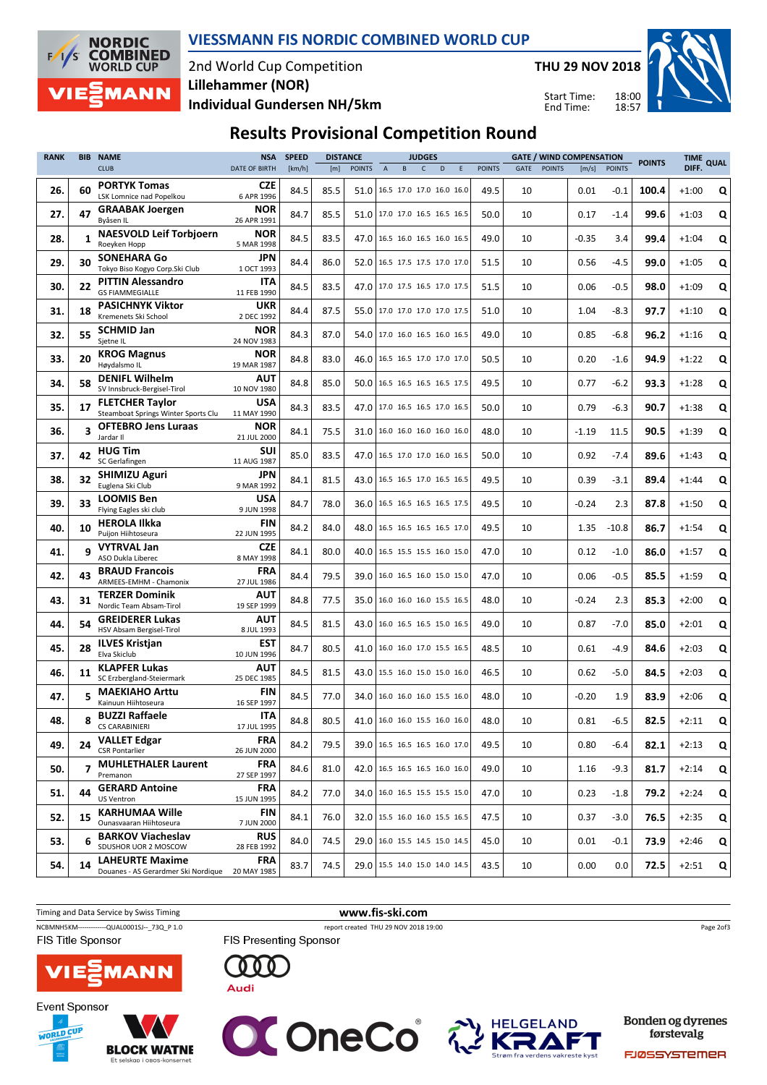

## VIESSMANN FIS NORDIC COMBINED WORLD CUP

## 2nd World Cup Competition Individual Gundersen NH/5km Lillehammer (NOR)

THU 29 NOV 2018

Start Time: End Time:

18:00 18:57



# Results Provisional Competition Round

| <b>RANK</b> | <b>BIB</b>     | <b>NAME</b>                                                               | <b>SPEED</b><br><b>DISTANCE</b><br><b>JUDGES</b><br><b>NSA</b><br><b>GATE / WIND COMPENSATION</b> |        | <b>POINTS</b> | <b>TIME</b>   | QUAL                            |   |              |   |   |               |             |               |         |               |       |         |   |
|-------------|----------------|---------------------------------------------------------------------------|---------------------------------------------------------------------------------------------------|--------|---------------|---------------|---------------------------------|---|--------------|---|---|---------------|-------------|---------------|---------|---------------|-------|---------|---|
|             |                | <b>CLUB</b>                                                               | <b>DATE OF BIRTH</b>                                                                              | [km/h] | [m]           | <b>POINTS</b> | $\boldsymbol{\mathsf{A}}$       | B | $\mathsf{C}$ | D | Ε | <b>POINTS</b> | <b>GATE</b> | <b>POINTS</b> | [m/s]   | <b>POINTS</b> |       | DIFF.   |   |
| 26.         | 60             | <b>PORTYK Tomas</b><br>LSK Lomnice nad Popelkou                           | <b>CZE</b><br>6 APR 1996                                                                          | 84.5   | 85.5          | 51.0          | 16.5 17.0 17.0 16.0 16.0        |   |              |   |   | 49.5          | 10          |               | 0.01    | $-0.1$        | 100.4 | $+1:00$ | Q |
| 27.         | 47             | <b>GRAABAK Joergen</b><br>Bvåsen IL                                       | <b>NOR</b><br>26 APR 1991                                                                         | 84.7   | 85.5          |               | 51.0   17.0 17.0 16.5 16.5 16.5 |   |              |   |   | 50.0          | 10          |               | 0.17    | $-1.4$        | 99.6  | $+1:03$ | Q |
| 28.         | 1              | <b>NAESVOLD Leif Torbjoern</b><br>Roeyken Hopp                            | <b>NOR</b><br>5 MAR 1998                                                                          | 84.5   | 83.5          | 47.0          | 16.5 16.0 16.5 16.0 16.5        |   |              |   |   | 49.0          | 10          |               | $-0.35$ | 3.4           | 99.4  | $+1:04$ | Q |
| 29.         | 30             | <b>SONEHARA Go</b><br>Tokyo Biso Kogyo Corp.Ski Club                      | JPN<br>1 OCT 1993                                                                                 | 84.4   | 86.0          | 52.0          | 16.5 17.5 17.5 17.0 17.0        |   |              |   |   | 51.5          | 10          |               | 0.56    | $-4.5$        | 99.0  | $+1:05$ | Q |
| 30.         | 22             | <b>PITTIN Alessandro</b><br><b>GS FIAMMEGIALLE</b>                        | <b>ITA</b><br>11 FEB 1990                                                                         | 84.5   | 83.5          | 47.0          | 17.0 17.5 16.5 17.0 17.5        |   |              |   |   | 51.5          | 10          |               | 0.06    | $-0.5$        | 98.0  | $+1:09$ | Q |
| 31.         | 18             | <b>PASICHNYK Viktor</b><br>Kremenets Ski School                           | <b>UKR</b><br>2 DEC 1992                                                                          | 84.4   | 87.5          | 55.0          | 17.0 17.0 17.0 17.0 17.5        |   |              |   |   | 51.0          | 10          |               | 1.04    | $-8.3$        | 97.7  | $+1:10$ | Q |
| 32.         | 55             | <b>SCHMID Jan</b><br>Sjetne IL                                            | <b>NOR</b><br>24 NOV 1983                                                                         | 84.3   | 87.0          | 54.0          | 17.0 16.0 16.5 16.0 16.5        |   |              |   |   | 49.0          | 10          |               | 0.85    | $-6.8$        | 96.2  | $+1:16$ | Q |
| 33.         | 20             | <b>KROG Magnus</b><br>Høydalsmo IL                                        | <b>NOR</b><br>19 MAR 1987                                                                         | 84.8   | 83.0          | 46.0          | 16.5 16.5 17.0 17.0 17.0        |   |              |   |   | 50.5          | 10          |               | 0.20    | $-1.6$        | 94.9  | $+1:22$ | Q |
| 34.         | 58             | <b>DENIFL Wilhelm</b><br>SV Innsbruck-Bergisel-Tirol                      | <b>AUT</b><br>10 NOV 1980                                                                         | 84.8   | 85.0          | 50.0          | 16.5 16.5 16.5 16.5 17.5        |   |              |   |   | 49.5          | 10          |               | 0.77    | $-6.2$        | 93.3  | $+1:28$ | Q |
| 35.         | 17             | <b>FLETCHER Taylor</b><br>Steamboat Springs Winter Sports Clu             | <b>USA</b><br>11 MAY 1990                                                                         | 84.3   | 83.5          |               | 47.0 17.0 16.5 16.5 17.0 16.5   |   |              |   |   | 50.0          | 10          |               | 0.79    | -6.3          | 90.7  | $+1:38$ | Q |
| 36.         | 3              | <b>OFTEBRO Jens Luraas</b><br>Jardar II                                   | <b>NOR</b><br>21 JUL 2000                                                                         | 84.1   | 75.5          | 31.0          | 16.0 16.0 16.0 16.0 16.0        |   |              |   |   | 48.0          | 10          |               | $-1.19$ | 11.5          | 90.5  | $+1:39$ | Q |
| 37.         | 42             | <b>HUG Tim</b><br>SC Gerlafingen                                          | SUI<br>11 AUG 1987                                                                                | 85.0   | 83.5          | 47.0          | 16.5 17.0 17.0 16.0 16.5        |   |              |   |   | 50.0          | 10          |               | 0.92    | $-7.4$        | 89.6  | $+1:43$ | Q |
| 38.         | 32             | <b>SHIMIZU Aguri</b><br>Euglena Ski Club                                  | JPN<br>9 MAR 1992                                                                                 | 84.1   | 81.5          | 43.0          | 16.5 16.5 17.0 16.5 16.5        |   |              |   |   | 49.5          | 10          |               | 0.39    | $-3.1$        | 89.4  | $+1:44$ | Q |
| 39.         | 33             | <b>LOOMIS Ben</b><br>Flying Eagles ski club                               | <b>USA</b><br>9 JUN 1998                                                                          | 84.7   | 78.0          | 36.0          | 16.5 16.5 16.5 16.5 17.5        |   |              |   |   | 49.5          | 10          |               | $-0.24$ | 2.3           | 87.8  | $+1:50$ | Q |
| 40.         | 10             | <b>HEROLA Ilkka</b><br>Puijon Hiihtoseura                                 | FIN<br>22 JUN 1995                                                                                | 84.2   | 84.0          | 48.0          | 16.5 16.5 16.5 16.5 17.0        |   |              |   |   | 49.5          | 10          |               | 1.35    | $-10.8$       | 86.7  | $+1:54$ | Q |
| 41.         | q              | <b>VYTRVAL Jan</b><br>ASO Dukla Liberec                                   | <b>CZE</b><br>8 MAY 1998                                                                          | 84.1   | 80.0          | 40.0          | 16.5 15.5 15.5 16.0 15.0        |   |              |   |   | 47.0          | 10          |               | 0.12    | $-1.0$        | 86.0  | $+1:57$ | Q |
| 42.         | 43             | <b>BRAUD Francois</b><br>ARMEES-EMHM - Chamonix                           | FRA<br>27 JUL 1986                                                                                | 84.4   | 79.5          | 39.0          | 16.0 16.5 16.0 15.0 15.0        |   |              |   |   | 47.0          | 10          |               | 0.06    | $-0.5$        | 85.5  | $+1:59$ | Q |
| 43.         | 31             | <b>TERZER Dominik</b><br>Nordic Team Absam-Tirol                          | AUT<br>19 SEP 1999                                                                                | 84.8   | 77.5          | 35.0          | 16.0 16.0 16.0 15.5 16.5        |   |              |   |   | 48.0          | 10          |               | $-0.24$ | 2.3           | 85.3  | $+2:00$ | Q |
| 44.         | 54             | <b>GREIDERER Lukas</b><br>HSV Absam Bergisel-Tirol                        | AUT<br>8 JUL 1993                                                                                 | 84.5   | 81.5          | 43.0          | 16.0 16.5 16.5 15.0 16.5        |   |              |   |   | 49.0          | 10          |               | 0.87    | $-7.0$        | 85.0  | $+2:01$ | Q |
| 45.         | 28             | <b>ILVES Kristjan</b><br>Elva Skiclub                                     | EST<br>10 JUN 1996                                                                                | 84.7   | 80.5          | 41.0          | 16.0 16.0 17.0 15.5 16.5        |   |              |   |   | 48.5          | 10          |               | 0.61    | -4.9          | 84.6  | $+2:03$ | Q |
| 46.         | 11             | <b>KLAPFER Lukas</b><br>SC Erzbergland-Steiermark                         | AUT<br>25 DEC 1985                                                                                | 84.5   | 81.5          | 43.0          | 15.5 16.0 15.0 15.0 16.0        |   |              |   |   | 46.5          | 10          |               | 0.62    | $-5.0$        | 84.5  | $+2:03$ | Q |
| 47.         | 5              | <b>MAEKIAHO Arttu</b><br>Kainuun Hiihtoseura                              | FIN<br>16 SEP 1997                                                                                | 84.5   | 77.0          |               | 34.0   16.0 16.0 16.0 15.5 16.0 |   |              |   |   | 48.0          | 10          |               | $-0.20$ | 1.9           | 83.9  | $+2:06$ | Q |
| 48.         |                | <b>BUZZI Raffaele</b><br><b>CS CARABINIERI</b>                            | ITA<br>17 JUL 1995                                                                                | 84.8   | 80.5          |               | 41.0   16.0 16.0 15.5 16.0 16.0 |   |              |   |   | 48.0          | 10          |               | 0.81    | $-6.5$        | 82.5  | $+2:11$ | Q |
| 49.         | 24             | <b>VALLET Edgar</b><br><b>CSR Pontarlier</b>                              | <b>FRA</b><br>26 JUN 2000                                                                         | 84.2   | 79.5          |               | 39.0   16.5 16.5 16.5 16.0 17.0 |   |              |   |   | 49.5          | 10          |               | 0.80    | $-6.4$        | 82.1  | $+2:13$ | Q |
| 50.         | $\overline{7}$ | <b>MUHLETHALER Laurent</b><br>Premanon                                    | <b>FRA</b><br>27 SEP 1997                                                                         | 84.6   | 81.0          |               | 42.0   16.5 16.5 16.5 16.0 16.0 |   |              |   |   | 49.0          | 10          |               | 1.16    | $-9.3$        | 81.7  | $+2:14$ | Q |
| 51.         | 44             | <b>GERARD Antoine</b><br><b>US Ventron</b>                                | <b>FRA</b><br>15 JUN 1995                                                                         | 84.2   | 77.0          |               | 34.0   16.0 16.5 15.5 15.5 15.0 |   |              |   |   | 47.0          | 10          |               | 0.23    | $-1.8$        | 79.2  | $+2:24$ | Q |
| 52.         | 15             | <b>KARHUMAA Wille</b><br>Ounasvaaran Hiihtoseura                          | FIN<br>7 JUN 2000                                                                                 | 84.1   | 76.0          |               | 32.0   15.5 16.0 16.0 15.5 16.5 |   |              |   |   | 47.5          | 10          |               | 0.37    | $-3.0$        | 76.5  | $+2:35$ | Q |
| 53.         | 6              | <b>BARKOV Viacheslav</b><br>SDUSHOR UOR 2 MOSCOW                          | <b>RUS</b><br>28 FEB 1992                                                                         | 84.0   | 74.5          | 29.0          | 16.0 15.5 14.5 15.0 14.5        |   |              |   |   | 45.0          | 10          |               | 0.01    | $-0.1$        | 73.9  | $+2:46$ | Q |
| 54.         | 14             | <b>LAHEURTE Maxime</b><br>Douanes - AS Gerardmer Ski Nordique 20 MAY 1985 | <b>FRA</b>                                                                                        | 83.7   | 74.5          |               | 29.0   15.5 14.0 15.0 14.0 14.5 |   |              |   |   | 43.5          | 10          |               | 0.00    | 0.0           | 72.5  | $+2:51$ | Q |









Bonden og dyrenes førstevalg

**FJØSSYSTEMER**